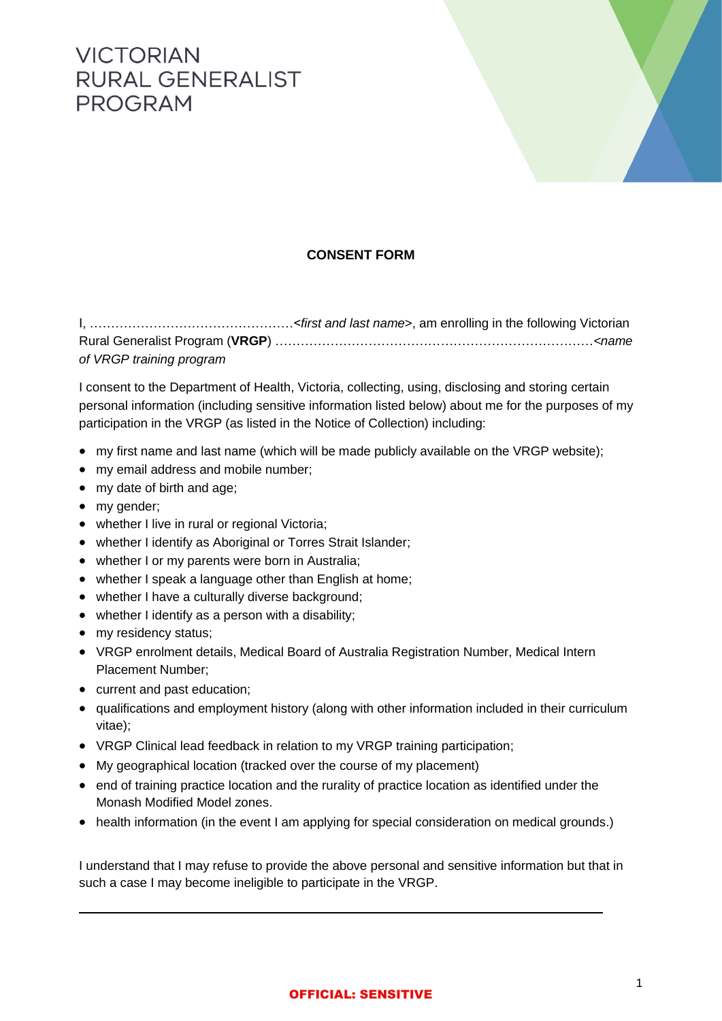## **VICTORIAN RURAL GENERALIST** PROGRAM



## **CONSENT FORM**

I, …………………………………………<*first and last name*>, am enrolling in the following Victorian Rural Generalist Program (**VRGP**) …………………………………………………………………*<name of VRGP training program*

I consent to the Department of Health, Victoria, collecting, using, disclosing and storing certain personal information (including sensitive information listed below) about me for the purposes of my participation in the VRGP (as listed in the Notice of Collection) including:

- my first name and last name (which will be made publicly available on the VRGP website);
- my email address and mobile number;
- my date of birth and age;
- my gender;
- whether I live in rural or regional Victoria;
- whether I identify as Aboriginal or Torres Strait Islander;
- whether I or my parents were born in Australia;
- whether I speak a language other than English at home;
- whether I have a culturally diverse background;
- whether I identify as a person with a disability;
- my residency status;
- VRGP enrolment details, Medical Board of Australia Registration Number, Medical Intern Placement Number;
- current and past education;
- qualifications and employment history (along with other information included in their curriculum vitae);
- VRGP Clinical lead feedback in relation to my VRGP training participation;
- My geographical location (tracked over the course of my placement)
- end of training practice location and the rurality of practice location as identified under the Monash Modified Model zones.
- health information (in the event I am applying for special consideration on medical grounds.)

I understand that I may refuse to provide the above personal and sensitive information but that in such a case I may become ineligible to participate in the VRGP.

## OFFICIAL: SENSITIVE